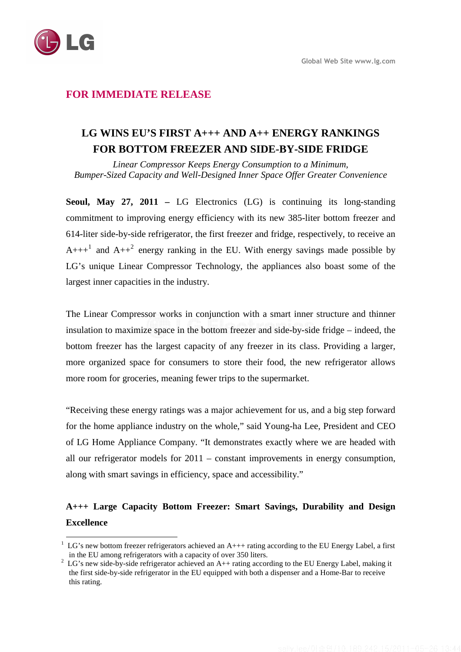

## **FOR IMMEDIATE RELEASE**

# **LG WINS EU'S FIRST A+++ AND A++ ENERGY RANKINGS FOR BOTTOM FREEZER AND SIDE-BY-SIDE FRIDGE**

*Linear Compressor Keeps Energy Consumption to a Minimum, Bumper-Sized Capacity and Well-Designed Inner Space Offer Greater Convenience* 

**Seoul, May 27, 2011 –** LG Electronics (LG) is continuing its long-standing commitment to improving energy efficiency with its new 385-liter bottom freezer and 614-liter side-by-side refrigerator, the first freezer and fridge, respectively, to receive an  $A++^1$  and  $A++^2$  energy ranking in the EU. With energy savings made possible by LG's unique Linear Compressor Technology, the appliances also boast some of the largest inner capacities in the industry.

The Linear Compressor works in conjunction with a smart inner structure and thinner insulation to maximize space in the bottom freezer and side-by-side fridge – indeed, the bottom freezer has the largest capacity of any freezer in its class. Providing a larger, more organized space for consumers to store their food, the new refrigerator allows more room for groceries, meaning fewer trips to the supermarket.

"Receiving these energy ratings was a major achievement for us, and a big step forward for the home appliance industry on the whole," said Young-ha Lee, President and CEO of LG Home Appliance Company. "It demonstrates exactly where we are headed with all our refrigerator models for 2011 – constant improvements in energy consumption, along with smart savings in efficiency, space and accessibility."

# **A+++ Large Capacity Bottom Freezer: Smart Savings, Durability and Design Excellence**

 $\overline{a}$  $1 \text{ LG's new bottom freeze refrigerators achieved an A++ rating according to the EU Energy Label, a first}$ in the EU among refrigerators with a capacity of over 350 liters.

<sup>2</sup> LG's new side-by-side refrigerator achieved an A++ rating according to the EU Energy Label, making it the first side-by-side refrigerator in the EU equipped with both a dispenser and a Home-Bar to receive this rating.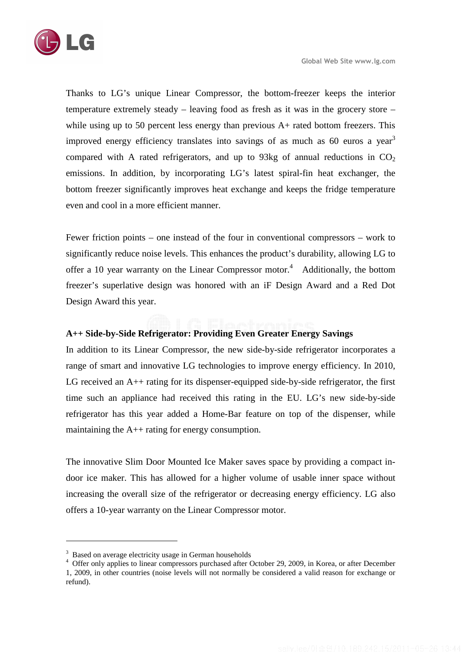

Thanks to LG's unique Linear Compressor, the bottom-freezer keeps the interior temperature extremely steady – leaving food as fresh as it was in the grocery store – while using up to 50 percent less energy than previous A+ rated bottom freezers. This improved energy efficiency translates into savings of as much as 60 euros a year<sup>3</sup> compared with A rated refrigerators, and up to 93kg of annual reductions in  $CO<sub>2</sub>$ emissions. In addition, by incorporating LG's latest spiral-fin heat exchanger, the bottom freezer significantly improves heat exchange and keeps the fridge temperature even and cool in a more efficient manner.

Fewer friction points – one instead of the four in conventional compressors – work to significantly reduce noise levels. This enhances the product's durability, allowing LG to offer a 10 year warranty on the Linear Compressor motor.<sup>4</sup> Additionally, the bottom freezer's superlative design was honored with an iF Design Award and a Red Dot Design Award this year.

### **A++ Side-by-Side Refrigerator: Providing Even Greater Energy Savings**

In addition to its Linear Compressor, the new side-by-side refrigerator incorporates a range of smart and innovative LG technologies to improve energy efficiency. In 2010, LG received an  $A_{++}$  rating for its dispenser-equipped side-by-side refrigerator, the first time such an appliance had received this rating in the EU. LG's new side-by-side refrigerator has this year added a Home-Bar feature on top of the dispenser, while maintaining the  $A++$  rating for energy consumption.

The innovative Slim Door Mounted Ice Maker saves space by providing a compact indoor ice maker. This has allowed for a higher volume of usable inner space without increasing the overall size of the refrigerator or decreasing energy efficiency. LG also offers a 10-year warranty on the Linear Compressor motor.

 $\overline{a}$ 

<sup>&</sup>lt;sup>3</sup> Based on average electricity usage in German households

<sup>&</sup>lt;sup>4</sup> Offer only applies to linear compressors purchased after October 29, 2009, in Korea, or after December 1, 2009, in other countries (noise levels will not normally be considered a valid reason for exchange or refund).